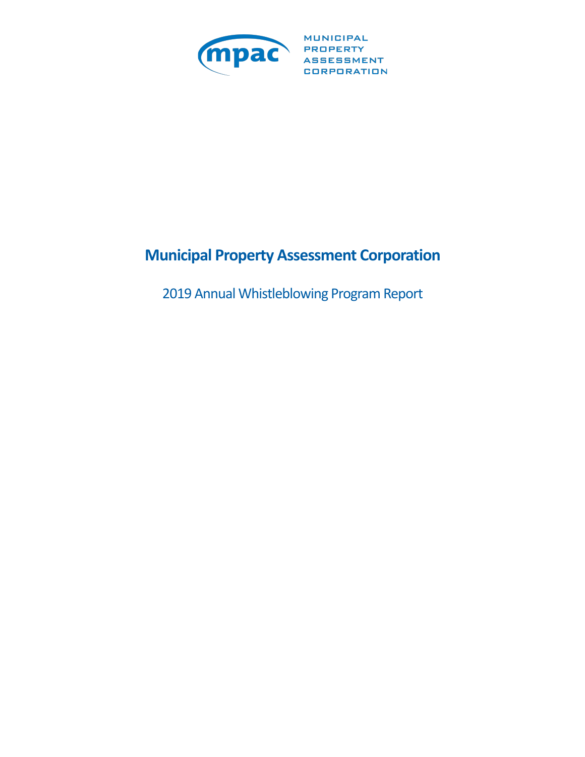

MUNICIPAL CORPORATION

# **Municipal Property Assessment Corporation**

2019 Annual Whistleblowing Program Report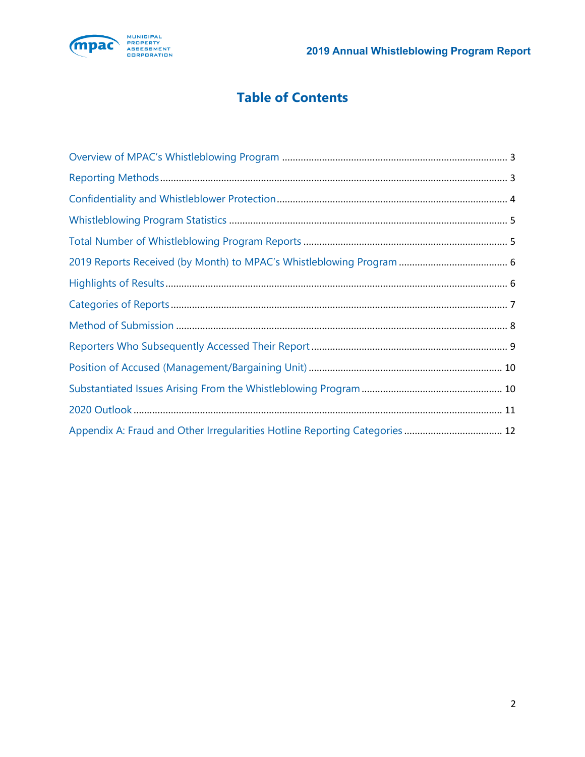

# **Table of Contents**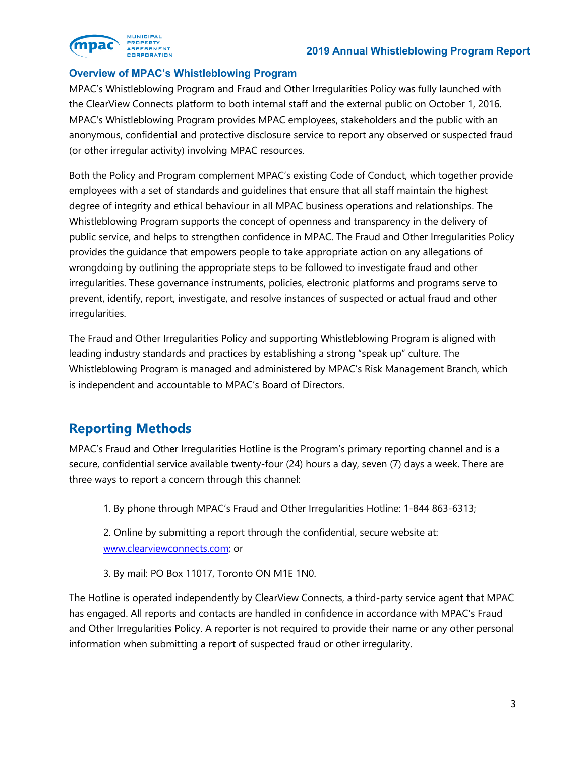<span id="page-2-0"></span>

#### **Overview of MPAC's Whistleblowing Program**

 MPAC's Whistleblowing Program and Fraud and Other Irregularities Policy was fully launched with the ClearView Connects platform to both internal staff and the external public on October 1, 2016. MPAC's Whistleblowing Program provides MPAC employees, stakeholders and the public with an anonymous, confidential and protective disclosure service to report any observed or suspected fraud (or other irregular activity) involving MPAC resources.

 Both the Policy and Program complement MPAC's existing Code of Conduct, which together provide employees with a set of standards and guidelines that ensure that all staff maintain the highest degree of integrity and ethical behaviour in all MPAC business operations and relationships. The Whistleblowing Program supports the concept of openness and transparency in the delivery of public service, and helps to strengthen confidence in MPAC. The Fraud and Other Irregularities Policy provides the guidance that empowers people to take appropriate action on any allegations of prevent, identify, report, investigate, and resolve instances of suspected or actual fraud and other wrongdoing by outlining the appropriate steps to be followed to investigate fraud and other irregularities. These governance instruments, policies, electronic platforms and programs serve to irregularities.

 The Fraud and Other Irregularities Policy and supporting Whistleblowing Program is aligned with Whistleblowing Program is managed and administered by MPAC's Risk Management Branch, which leading industry standards and practices by establishing a strong "speak up" culture. The is independent and accountable to MPAC's Board of Directors.

## **Reporting Methods**

 MPAC's Fraud and Other Irregularities Hotline is the Program's primary reporting channel and is a secure, confidential service available twenty-four (24) hours a day, seven (7) days a week. There are three ways to report a concern through this channel:

1. By phone through MPAC's Fraud and Other Irregularities Hotline: 1-844 863-6313;

2. Online by submitting a report through the confidential, secure website at: <www.clearviewconnects.com>; or

3. By mail: PO Box 11017, Toronto ON M1E 1N0.

The Hotline is operated independently by ClearView Connects, a third-party service agent that MPAC has engaged. All reports and contacts are handled in confidence in accordance with MPAC's Fraud and Other Irregularities Policy. A reporter is not required to provide their name or any other personal information when submitting a report of suspected fraud or other irregularity.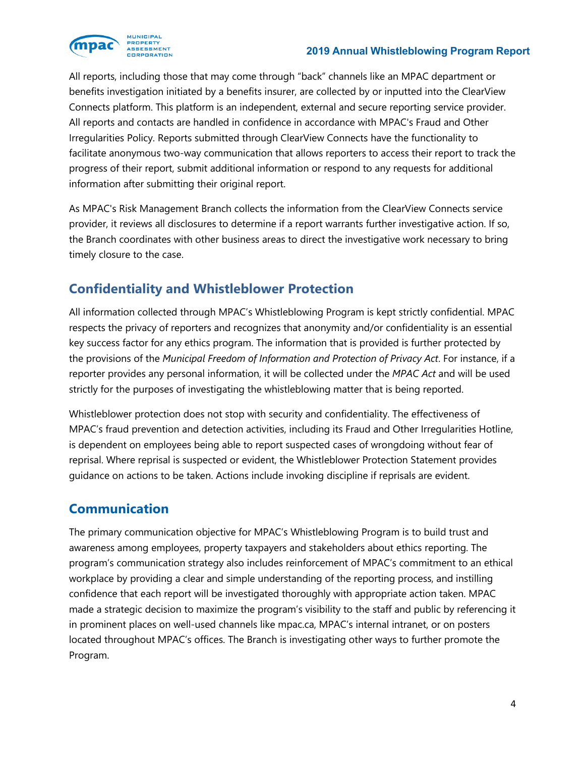<span id="page-3-0"></span>

 All reports, including those that may come through "back" channels like an MPAC department or benefits investigation initiated by a benefits insurer, are collected by or inputted into the ClearView Connects platform. This platform is an independent, external and secure reporting service provider. All reports and contacts are handled in confidence in accordance with MPAC's Fraud and Other facilitate anonymous two-way communication that allows reporters to access their report to track the progress of their report, submit additional information or respond to any requests for additional Irregularities Policy. Reports submitted through ClearView Connects have the functionality to information after submitting their original report.

 As MPAC's Risk Management Branch collects the information from the ClearView Connects service provider, it reviews all disclosures to determine if a report warrants further investigative action. If so, the Branch coordinates with other business areas to direct the investigative work necessary to bring timely closure to the case.

## **Confidentiality and Whistleblower Protection**

 All information collected through MPAC's Whistleblowing Program is kept strictly confidential. MPAC respects the privacy of reporters and recognizes that anonymity and/or confidentiality is an essential  the provisions of the *Municipal Freedom of Information and Protection of Privacy Act*. For instance, if a reporter provides any personal information, it will be collected under the *MPAC Act* and will be used strictly for the purposes of investigating the whistleblowing matter that is being reported. key success factor for any ethics program. The information that is provided is further protected by

 Whistleblower protection does not stop with security and confidentiality. The effectiveness of MPAC's fraud prevention and detection activities, including its Fraud and Other Irregularities Hotline, reprisal. Where reprisal is suspected or evident, the Whistleblower Protection Statement provides guidance on actions to be taken. Actions include invoking discipline if reprisals are evident. is dependent on employees being able to report suspected cases of wrongdoing without fear of

### **Communication**

 The primary communication objective for MPAC's Whistleblowing Program is to build trust and program's communication strategy also includes reinforcement of MPAC's commitment to an ethical confidence that each report will be investigated thoroughly with appropriate action taken. MPAC made a strategic decision to maximize the program's visibility to the staff and public by referencing it in prominent places on well-used channels like mpac.ca, MPAC's internal intranet, or on posters located throughout MPAC's offices. The Branch is investigating other ways to further promote the Program. awareness among employees, property taxpayers and stakeholders about ethics reporting. The workplace by providing a clear and simple understanding of the reporting process, and instilling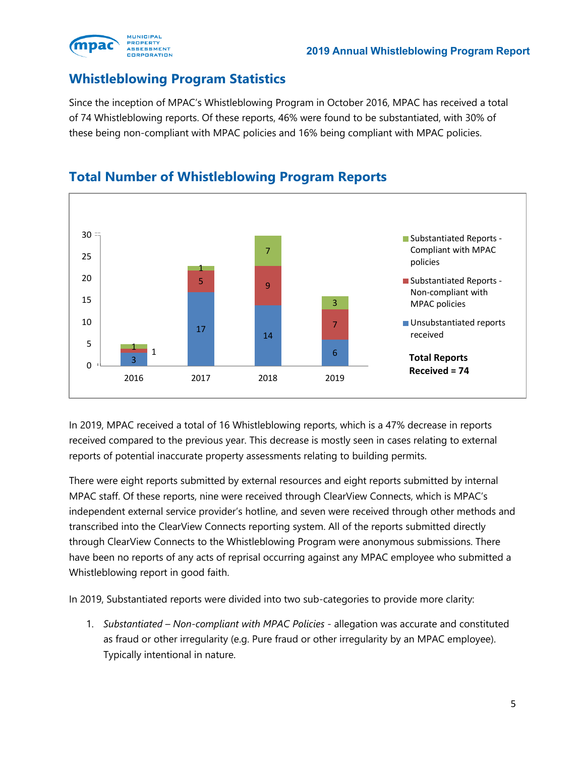<span id="page-4-0"></span>

### **Whistleblowing Program Statistics**

 Since the inception of MPAC's Whistleblowing Program in October 2016, MPAC has received a total of 74 Whistleblowing reports. Of these reports, 46% were found to be substantiated, with 30% of these being non-compliant with MPAC policies and 16% being compliant with MPAC policies.



### **Total Number of Whistleblowing Program Reports**

 received compared to the previous year. This decrease is mostly seen in cases relating to external reports of potential inaccurate property assessments relating to building permits. In 2019, MPAC received a total of 16 Whistleblowing reports, which is a 47% decrease in reports

 There were eight reports submitted by external resources and eight reports submitted by internal MPAC staff. Of these reports, nine were received through ClearView Connects, which is MPAC's transcribed into the ClearView Connects reporting system. All of the reports submitted directly through ClearView Connects to the Whistleblowing Program were anonymous submissions. There have been no reports of any acts of reprisal occurring against any MPAC employee who submitted a Whistleblowing report in good faith. independent external service provider's hotline, and seven were received through other methods and

In 2019, Substantiated reports were divided into two sub-categories to provide more clarity:

1. Substantiated – Non-compliant with MPAC Policies - allegation was accurate and constituted as fraud or other irregularity (e.g. Pure fraud or other irregularity by an MPAC employee). Typically intentional in nature.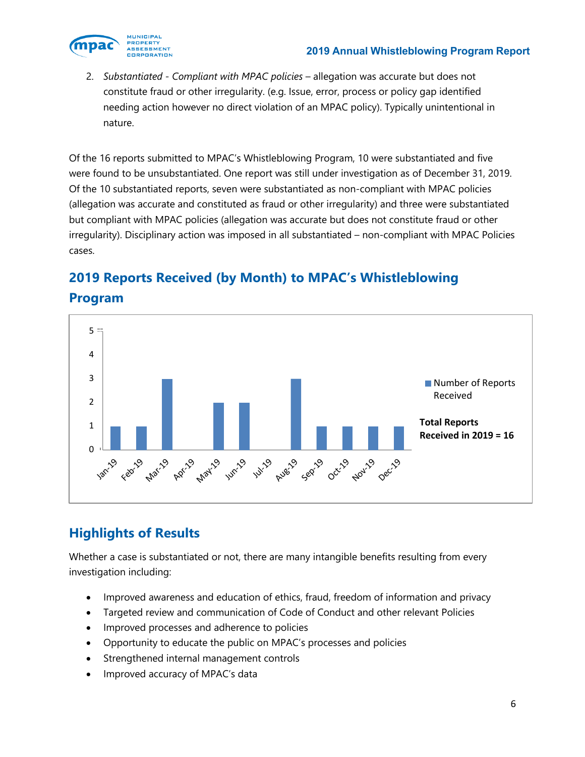<span id="page-5-0"></span>

2. *Substantiated - Compliant with MPAC policies* – allegation was accurate but does not constitute fraud or other irregularity. (e.g. Issue, error, process or policy gap identified needing action however no direct violation of an MPAC policy). Typically unintentional in nature.

Of the 16 reports submitted to MPAC's Whistleblowing Program, 10 were substantiated and five were found to be unsubstantiated. One report was still under investigation as of December 31, 2019. Of the 10 substantiated reports, seven were substantiated as non-compliant with MPAC policies (allegation was accurate and constituted as fraud or other irregularity) and three were substantiated but compliant with MPAC policies (allegation was accurate but does not constitute fraud or other irregularity). Disciplinary action was imposed in all substantiated – non-compliant with MPAC Policies cases.



# **2019 Reports Received (by Month) to MPAC's Whistleblowing Program**

# **Highlights of Results**

Whether a case is substantiated or not, there are many intangible benefits resulting from every investigation including:

- Improved awareness and education of ethics, fraud, freedom of information and privacy
- Targeted review and communication of Code of Conduct and other relevant Policies
- Improved processes and adherence to policies
- Opportunity to educate the public on MPAC's processes and policies
- Strengthened internal management controls
- Improved accuracy of MPAC's data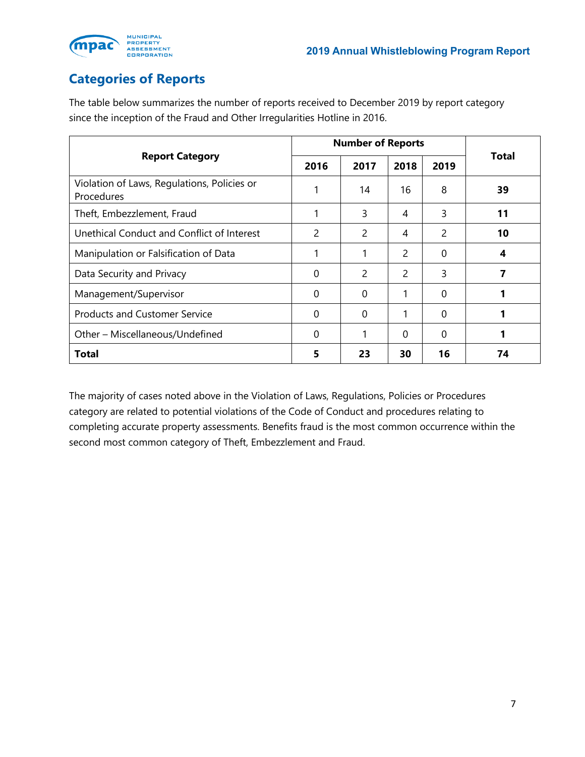

<span id="page-6-0"></span>

## **Categories of Reports**

The table below summarizes the number of reports received to December 2019 by report category since the inception of the Fraud and Other Irregularities Hotline in 2016.

|                                                           | <b>Number of Reports</b> |               |                          |          |              |  |
|-----------------------------------------------------------|--------------------------|---------------|--------------------------|----------|--------------|--|
| <b>Report Category</b>                                    | 2016                     | 2017          | 2018                     | 2019     | <b>Total</b> |  |
| Violation of Laws, Regulations, Policies or<br>Procedures |                          | 14            | 16                       | 8        | 39           |  |
| Theft, Embezzlement, Fraud                                |                          | 3             | 4                        | 3        | 11           |  |
| Unethical Conduct and Conflict of Interest                | 2                        | $\mathcal{P}$ | 4                        | 2        | 10           |  |
| Manipulation or Falsification of Data                     |                          |               | $\overline{\phantom{0}}$ | 0        | 4            |  |
| Data Security and Privacy                                 | $\Omega$                 | $\mathcal{P}$ | $\mathcal{P}$            | 3        |              |  |
| Management/Supervisor                                     | $\Omega$                 | 0             | 1                        | $\Omega$ |              |  |
| <b>Products and Customer Service</b>                      | $\Omega$                 | $\Omega$      | 1                        | 0        |              |  |
| Other - Miscellaneous/Undefined                           | 0                        |               | $\Omega$                 | 0        |              |  |
| Total                                                     | 5                        | 23            | 30                       | 16       | 74           |  |

The majority of cases noted above in the Violation of Laws, Regulations, Policies or Procedures category are related to potential violations of the Code of Conduct and procedures relating to completing accurate property assessments. Benefits fraud is the most common occurrence within the second most common category of Theft, Embezzlement and Fraud.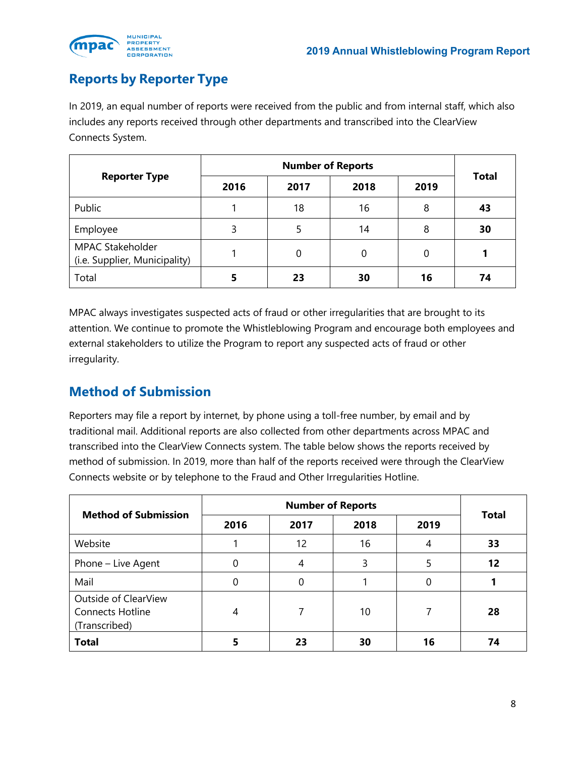<span id="page-7-0"></span>

## **Reports by Reporter Type**

In 2019, an equal number of reports were received from the public and from internal staff, which also includes any reports received through other departments and transcribed into the ClearView Connects System.

|                                                          | <b>Number of Reports</b> |      |      |      |              |  |
|----------------------------------------------------------|--------------------------|------|------|------|--------------|--|
| <b>Reporter Type</b>                                     | 2016                     | 2017 | 2018 | 2019 | <b>Total</b> |  |
| Public                                                   |                          | 18   | 16   | 8    | 43           |  |
| Employee                                                 | 3                        |      | 14   | 8    | 30           |  |
| <b>MPAC Stakeholder</b><br>(i.e. Supplier, Municipality) |                          | 0    | 0    | 0    |              |  |
| Total                                                    | 5                        | 23   | 30   | 16   | 74           |  |

MPAC always investigates suspected acts of fraud or other irregularities that are brought to its attention. We continue to promote the Whistleblowing Program and encourage both employees and external stakeholders to utilize the Program to report any suspected acts of fraud or other irregularity.

### **Method of Submission**

Reporters may file a report by internet, by phone using a toll-free number, by email and by traditional mail. Additional reports are also collected from other departments across MPAC and transcribed into the ClearView Connects system. The table below shows the reports received by method of submission. In 2019, more than half of the reports received were through the ClearView Connects website or by telephone to the Fraud and Other Irregularities Hotline.

| <b>Method of Submission</b>                                      | 2016 | 2017 | 2018 | 2019 | <b>Total</b> |  |
|------------------------------------------------------------------|------|------|------|------|--------------|--|
| Website                                                          |      | 12   | 16   | 4    | 33           |  |
| Phone - Live Agent                                               | 0    | 4    | 3    | 5    | 12           |  |
| Mail                                                             | 0    | 0    |      | 0    |              |  |
| Outside of ClearView<br><b>Connects Hotline</b><br>(Transcribed) | 4    |      | 10   |      | 28           |  |
| <b>Total</b>                                                     |      | 23   | 30   | 16   | 74           |  |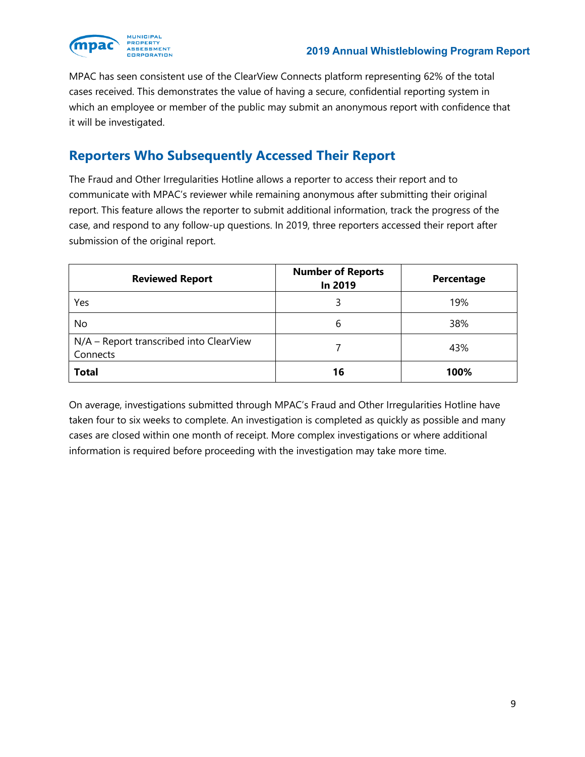<span id="page-8-0"></span>

MPAC has seen consistent use of the ClearView Connects platform representing 62% of the total cases received. This demonstrates the value of having a secure, confidential reporting system in which an employee or member of the public may submit an anonymous report with confidence that it will be investigated.

### **Reporters Who Subsequently Accessed Their Report**

The Fraud and Other Irregularities Hotline allows a reporter to access their report and to communicate with MPAC's reviewer while remaining anonymous after submitting their original report. This feature allows the reporter to submit additional information, track the progress of the case, and respond to any follow-up questions. In 2019, three reporters accessed their report after submission of the original report.

| <b>Reviewed Report</b>                              | <b>Number of Reports</b><br>In 2019 | Percentage |
|-----------------------------------------------------|-------------------------------------|------------|
| Yes                                                 |                                     | 19%        |
| No                                                  | 6                                   | 38%        |
| N/A - Report transcribed into ClearView<br>Connects |                                     | 43%        |
| <b>Total</b>                                        | 16                                  | 100%       |

On average, investigations submitted through MPAC's Fraud and Other Irregularities Hotline have taken four to six weeks to complete. An investigation is completed as quickly as possible and many cases are closed within one month of receipt. More complex investigations or where additional information is required before proceeding with the investigation may take more time.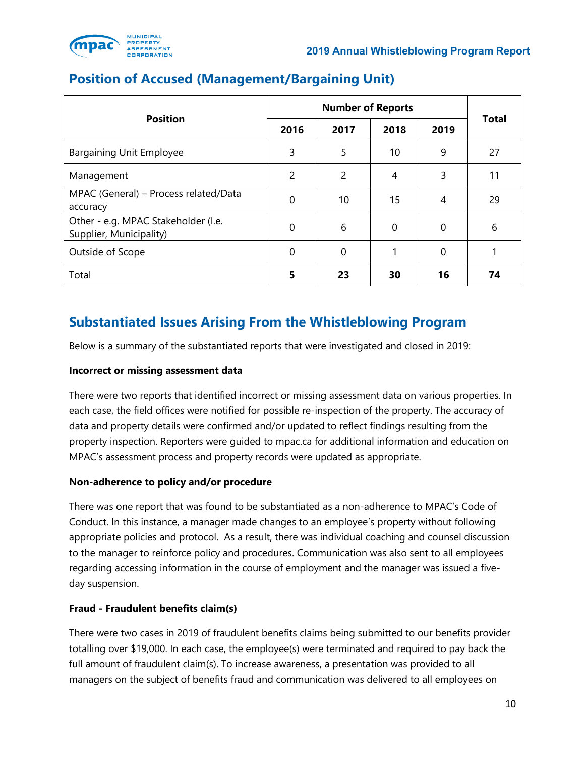<span id="page-9-0"></span>

|                                                                | <b>Number of Reports</b> |               |      |          |              |
|----------------------------------------------------------------|--------------------------|---------------|------|----------|--------------|
| <b>Position</b>                                                | 2016                     | 2017          | 2018 | 2019     | <b>Total</b> |
| <b>Bargaining Unit Employee</b>                                | 3                        | 5             | 10   | 9        | 27           |
| Management                                                     | $\overline{2}$           | $\mathcal{P}$ | 4    | 3        | 11           |
| MPAC (General) - Process related/Data<br>accuracy              | 0                        | 10            | 15   | 4        | 29           |
| Other - e.g. MPAC Stakeholder (I.e.<br>Supplier, Municipality) | $\Omega$                 | 6             | 0    | $\Omega$ | 6            |
| Outside of Scope                                               | $\Omega$                 | $\mathbf 0$   | 1    | $\Omega$ |              |
| Total                                                          | 5                        | 23            | 30   | 16       | 74           |

### **Position of Accused (Management/Bargaining Unit)**

### **Substantiated Issues Arising From the Whistleblowing Program**

Below is a summary of the substantiated reports that were investigated and closed in 2019:

#### **Incorrect or missing assessment data**

There were two reports that identified incorrect or missing assessment data on various properties. In each case, the field offices were notified for possible re-inspection of the property. The accuracy of data and property details were confirmed and/or updated to reflect findings resulting from the property inspection. Reporters were guided to mpac.ca for additional information and education on MPAC's assessment process and property records were updated as appropriate.

#### **Non-adherence to policy and/or procedure**

There was one report that was found to be substantiated as a non-adherence to MPAC's Code of Conduct. In this instance, a manager made changes to an employee's property without following appropriate policies and protocol. As a result, there was individual coaching and counsel discussion to the manager to reinforce policy and procedures. Communication was also sent to all employees regarding accessing information in the course of employment and the manager was issued a fiveday suspension.

#### **Fraud - Fraudulent benefits claim(s)**

There were two cases in 2019 of fraudulent benefits claims being submitted to our benefits provider totalling over \$19,000. In each case, the employee(s) were terminated and required to pay back the full amount of fraudulent claim(s). To increase awareness, a presentation was provided to all managers on the subject of benefits fraud and communication was delivered to all employees on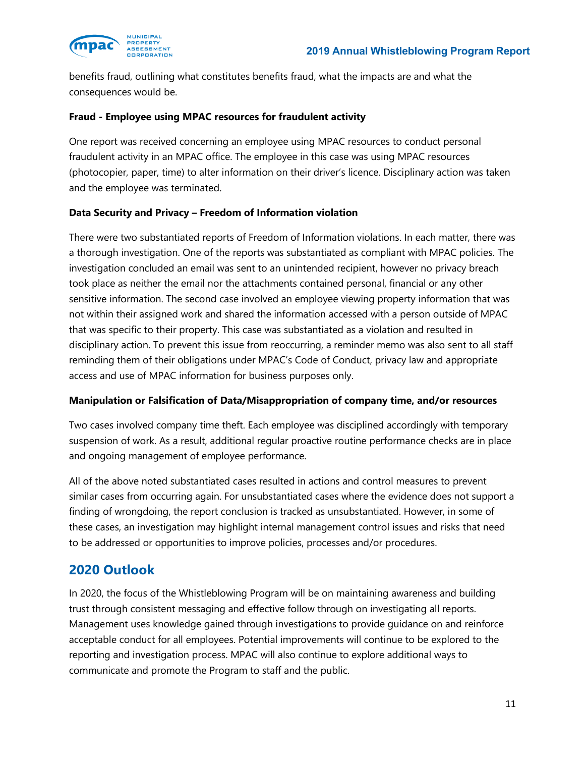<span id="page-10-0"></span>

 benefits fraud, outlining what constitutes benefits fraud, what the impacts are and what the consequences would be.

#### **Fraud - Employee using MPAC resources for fraudulent activity**

 One report was received concerning an employee using MPAC resources to conduct personal fraudulent activity in an MPAC office. The employee in this case was using MPAC resources (photocopier, paper, time) to alter information on their driver's licence. Disciplinary action was taken and the employee was terminated.

#### **Data Security and Privacy – Freedom of Information violation**

 There were two substantiated reports of Freedom of Information violations. In each matter, there was a thorough investigation. One of the reports was substantiated as compliant with MPAC policies. The took place as neither the email nor the attachments contained personal, financial or any other that was specific to their property. This case was substantiated as a violation and resulted in disciplinary action. To prevent this issue from reoccurring, a reminder memo was also sent to all staff reminding them of their obligations under MPAC's Code of Conduct, privacy law and appropriate access and use of MPAC information for business purposes only. investigation concluded an email was sent to an unintended recipient, however no privacy breach sensitive information. The second case involved an employee viewing property information that was not within their assigned work and shared the information accessed with a person outside of MPAC

#### **Manipulation or Falsification of Data/Misappropriation of company time, and/or resources**

 suspension of work. As a result, additional regular proactive routine performance checks are in place and ongoing management of employee performance. Two cases involved company time theft. Each employee was disciplined accordingly with temporary

 All of the above noted substantiated cases resulted in actions and control measures to prevent similar cases from occurring again. For unsubstantiated cases where the evidence does not support a finding of wrongdoing, the report conclusion is tracked as unsubstantiated. However, in some of these cases, an investigation may highlight internal management control issues and risks that need to be addressed or opportunities to improve policies, processes and/or procedures.

#### **2020 Outlook**

 trust through consistent messaging and effective follow through on investigating all reports. Management uses knowledge gained through investigations to provide guidance on and reinforce acceptable conduct for all employees. Potential improvements will continue to be explored to the reporting and investigation process. MPAC will also continue to explore additional ways to communicate and promote the Program to staff and the public. In 2020, the focus of the Whistleblowing Program will be on maintaining awareness and building